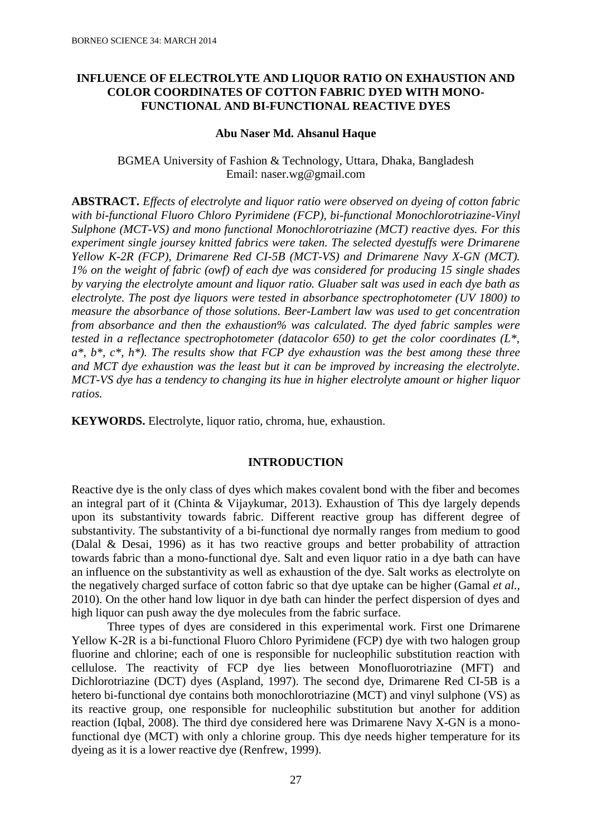## **INFLUENCE OF ELECTROLYTE AND LIQUOR RATIO ON EXHAUSTION AND COLOR COORDINATES OF COTTON FABRIC DYED WITH MONO-FUNCTIONAL AND BI-FUNCTIONAL REACTIVE DYES**

#### **Abu Naser Md. Ahsanul Haque**

BGMEA University of Fashion & Technology, Uttara, Dhaka, Bangladesh Email: naser.wg@gmail.com

**ABSTRACT.** *Effects of electrolyte and liquor ratio were observed on dyeing of cotton fabric with bi-functional Fluoro Chloro Pyrimidene (FCP), bi-functional Monochlorotriazine-Vinyl Sulphone (MCT-VS) and mono functional Monochlorotriazine (MCT) reactive dyes. For this experiment single joursey knitted fabrics were taken. The selected dyestuffs were Drimarene Yellow K-2R (FCP), Drimarene Red CI-5B (MCT-VS) and Drimarene Navy X-GN (MCT). 1% on the weight of fabric (owf) of each dye was considered for producing 15 single shades by varying the electrolyte amount and liquor ratio. Gluaber salt was used in each dye bath as electrolyte. The post dye liquors were tested in absorbance spectrophotometer (UV 1800) to measure the absorbance of those solutions. Beer-Lambert law was used to get concentration from absorbance and then the exhaustion% was calculated. The dyed fabric samples were tested in a reflectance spectrophotometer (datacolor 650) to get the color coordinates (L\*, a\*, b\*, c\*, h\*). The results show that FCP dye exhaustion was the best among these three and MCT dye exhaustion was the least but it can be improved by increasing the electrolyte. MCT-VS dye has a tendency to changing its hue in higher electrolyte amount or higher liquor ratios.* 

**KEYWORDS.** Electrolyte, liquor ratio, chroma, hue, exhaustion.

### **INTRODUCTION**

Reactive dye is the only class of dyes which makes covalent bond with the fiber and becomes an integral part of it (Chinta & Vijaykumar, 2013). Exhaustion of This dye largely depends upon its substantivity towards fabric. Different reactive group has different degree of substantivity. The substantivity of a bi-functional dye normally ranges from medium to good (Dalal & Desai, 1996) as it has two reactive groups and better probability of attraction towards fabric than a mono-functional dye. Salt and even liquor ratio in a dye bath can have an influence on the substantivity as well as exhaustion of the dye. Salt works as electrolyte on the negatively charged surface of cotton fabric so that dye uptake can be higher (Gamal *et al.*, 2010). On the other hand low liquor in dye bath can hinder the perfect dispersion of dyes and high liquor can push away the dye molecules from the fabric surface.

Three types of dyes are considered in this experimental work. First one Drimarene Yellow K-2R is a bi-functional Fluoro Chloro Pyrimidene (FCP) dye with two halogen group fluorine and chlorine; each of one is responsible for nucleophilic substitution reaction with cellulose. The reactivity of FCP dye lies between Monofluorotriazine (MFT) and Dichlorotriazine (DCT) dyes (Aspland, 1997). The second dye, Drimarene Red CI-5B is a hetero bi-functional dye contains both monochlorotriazine (MCT) and vinyl sulphone (VS) as its reactive group, one responsible for nucleophilic substitution but another for addition reaction (Iqbal, 2008). The third dye considered here was Drimarene Navy X-GN is a monofunctional dye (MCT) with only a chlorine group. This dye needs higher temperature for its dyeing as it is a lower reactive dye (Renfrew, 1999).

27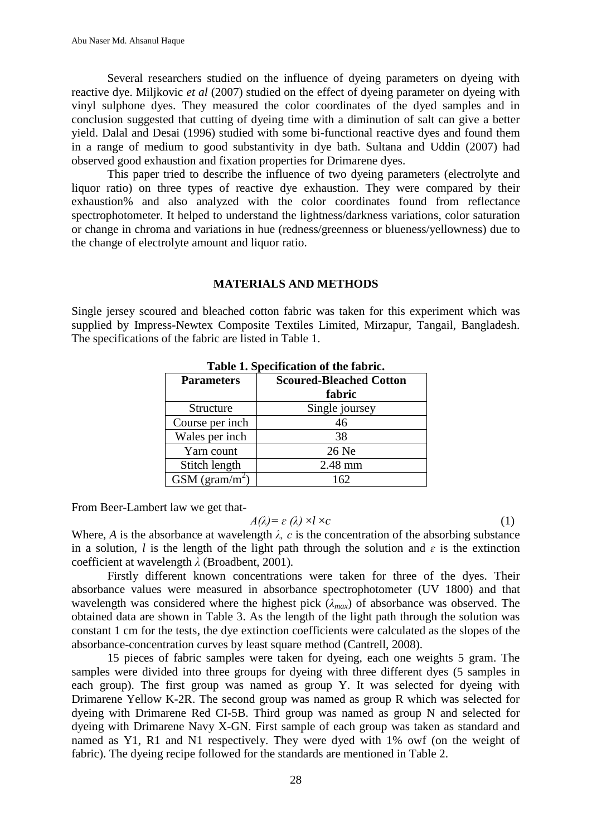Several researchers studied on the influence of dyeing parameters on dyeing with reactive dye. Miljkovic *et al* (2007) studied on the effect of dyeing parameter on dyeing with vinyl sulphone dyes. They measured the color coordinates of the dyed samples and in conclusion suggested that cutting of dyeing time with a diminution of salt can give a better yield. Dalal and Desai (1996) studied with some bi-functional reactive dyes and found them in a range of medium to good substantivity in dye bath. Sultana and Uddin (2007) had observed good exhaustion and fixation properties for Drimarene dyes.

This paper tried to describe the influence of two dyeing parameters (electrolyte and liquor ratio) on three types of reactive dye exhaustion. They were compared by their exhaustion% and also analyzed with the color coordinates found from reflectance spectrophotometer. It helped to understand the lightness/darkness variations, color saturation or change in chroma and variations in hue (redness/greenness or blueness/yellowness) due to the change of electrolyte amount and liquor ratio.

### **MATERIALS AND METHODS**

Single jersey scoured and bleached cotton fabric was taken for this experiment which was supplied by Impress-Newtex Composite Textiles Limited, Mirzapur, Tangail, Bangladesh. The specifications of the fabric are listed in Table 1.

| <b>Parameters</b>          | <b>Scoured-Bleached Cotton</b> |  |
|----------------------------|--------------------------------|--|
|                            | fabric                         |  |
| Structure                  | Single joursey                 |  |
| Course per inch            | 46                             |  |
| Wales per inch             | 38                             |  |
| Yarn count                 | 26 Ne                          |  |
| Stitch length              | 2.48 mm                        |  |
| GSM (gram/m <sup>2</sup> ) | 162                            |  |

| Table 1. Specification of the fabric. |
|---------------------------------------|
|---------------------------------------|

From Beer-Lambert law we get that-

$$
A(\lambda) = \varepsilon(\lambda) \times l \times c \tag{1}
$$

Where, *A* is the absorbance at wavelength  $\lambda$ , *c* is the concentration of the absorbing substance in a solution, *l* is the length of the light path through the solution and  $\varepsilon$  is the extinction coefficient at wavelength *λ* (Broadbent, 2001)*.*

Firstly different known concentrations were taken for three of the dyes. Their absorbance values were measured in absorbance spectrophotometer (UV 1800) and that wavelength was considered where the highest pick  $(\lambda_{max})$  of absorbance was observed. The obtained data are shown in Table 3. As the length of the light path through the solution was constant 1 cm for the tests, the dye extinction coefficients were calculated as the slopes of the absorbance-concentration curves by least square method (Cantrell, 2008).

15 pieces of fabric samples were taken for dyeing, each one weights 5 gram. The samples were divided into three groups for dyeing with three different dyes (5 samples in each group). The first group was named as group Y. It was selected for dyeing with Drimarene Yellow K-2R. The second group was named as group R which was selected for dyeing with Drimarene Red CI-5B. Third group was named as group N and selected for dyeing with Drimarene Navy X-GN. First sample of each group was taken as standard and named as Y1, R1 and N1 respectively. They were dyed with 1% owf (on the weight of fabric). The dyeing recipe followed for the standards are mentioned in Table 2.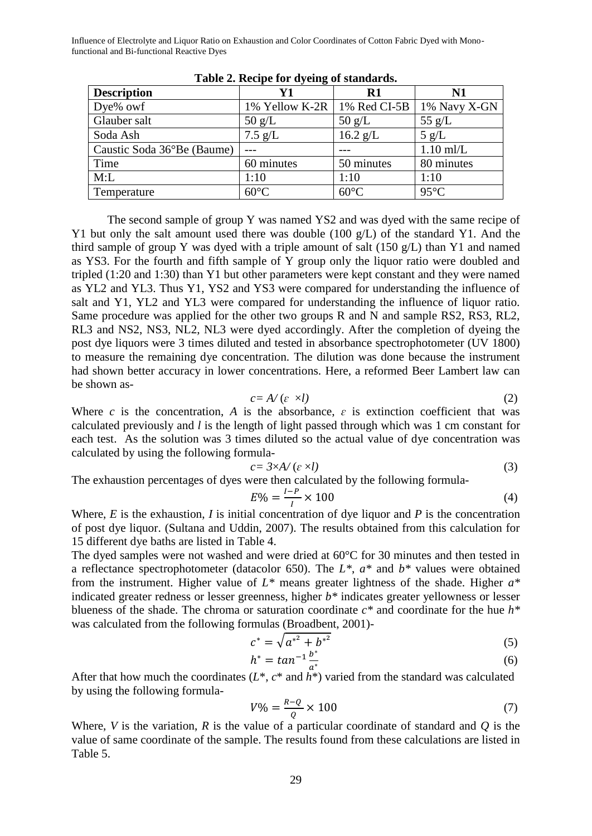Influence of Electrolyte and Liquor Ratio on Exhaustion and Color Coordinates of Cotton Fabric Dyed with Monofunctional and Bi-functional Reactive Dyes

| <b>Description</b>         | ້<br>Y1                       | R1               | N1              |
|----------------------------|-------------------------------|------------------|-----------------|
| Dye% owf                   | 1% Yellow K-2R   1% Red CI-5B |                  | 1% Navy X-GN    |
| Glauber salt               | $50 \text{ g/L}$              | $50 \text{ g/L}$ | 55 $g/L$        |
| Soda Ash                   | $7.5$ g/L                     | $16.2$ g/L       | $5 \text{ g/L}$ |
| Caustic Soda 36°Be (Baume) |                               |                  | $1.10$ ml/L     |
| Time                       | 60 minutes                    | 50 minutes       | 80 minutes      |
| M:L                        | 1:10                          | 1:10             | 1:10            |
| Temperature                | $60^{\circ}$ C                | $60^{\circ}$ C   | $95^{\circ}$ C  |

**Table 2. Recipe for dyeing of standards.**

The second sample of group Y was named YS2 and was dyed with the same recipe of Y1 but only the salt amount used there was double (100 g/L) of the standard Y1. And the third sample of group Y was dyed with a triple amount of salt (150 g/L) than Y1 and named as YS3. For the fourth and fifth sample of Y group only the liquor ratio were doubled and tripled (1:20 and 1:30) than Y1 but other parameters were kept constant and they were named as YL2 and YL3. Thus Y1, YS2 and YS3 were compared for understanding the influence of salt and Y1, YL2 and YL3 were compared for understanding the influence of liquor ratio. Same procedure was applied for the other two groups R and N and sample RS2, RS3, RL2, RL3 and NS2, NS3, NL2, NL3 were dyed accordingly. After the completion of dyeing the post dye liquors were 3 times diluted and tested in absorbance spectrophotometer (UV 1800) to measure the remaining dye concentration. The dilution was done because the instrument had shown better accuracy in lower concentrations. Here, a reformed Beer Lambert law can be shown as-

$$
c = A/(\varepsilon \times l) \tag{2}
$$

Where *c* is the concentration, *A* is the absorbance,  $\varepsilon$  is extinction coefficient that was calculated previously and *l* is the length of light passed through which was 1 cm constant for each test. As the solution was 3 times diluted so the actual value of dye concentration was calculated by using the following formula-

$$
c = 3 \times A / (e \times l) \tag{3}
$$

The exhaustion percentages of dyes were then calculated by the following formula-

$$
E\% = \frac{I - P}{I} \times 100\tag{4}
$$

Where, *E* is the exhaustion, *I* is initial concentration of dye liquor and *P* is the concentration of post dye liquor. (Sultana and Uddin, 2007). The results obtained from this calculation for 15 different dye baths are listed in Table 4.

The dyed samples were not washed and were dried at 60°C for 30 minutes and then tested in a reflectance spectrophotometer (datacolor 650). The *L\**, *a\** and *b\** values were obtained from the instrument. Higher value of *L\** means greater lightness of the shade. Higher *a\** indicated greater redness or lesser greenness, higher *b\** indicates greater yellowness or lesser blueness of the shade. The chroma or saturation coordinate *c\** and coordinate for the hue *h\** was calculated from the following formulas (Broadbent, 2001)-

$$
c^* = \sqrt{{a^*}^2 + {b^*}^2}
$$
 (5)

$$
h^* = \tan^{-1} \frac{b^*}{a^*} \tag{6}
$$

After that how much the coordinates (*L*\*, *c*\* and *h*\*) varied from the standard was calculated by using the following formula-

$$
V\% = \frac{R - Q}{Q} \times 100\tag{7}
$$

Where, *V* is the variation, *R* is the value of a particular coordinate of standard and *Q* is the value of same coordinate of the sample. The results found from these calculations are listed in Table 5.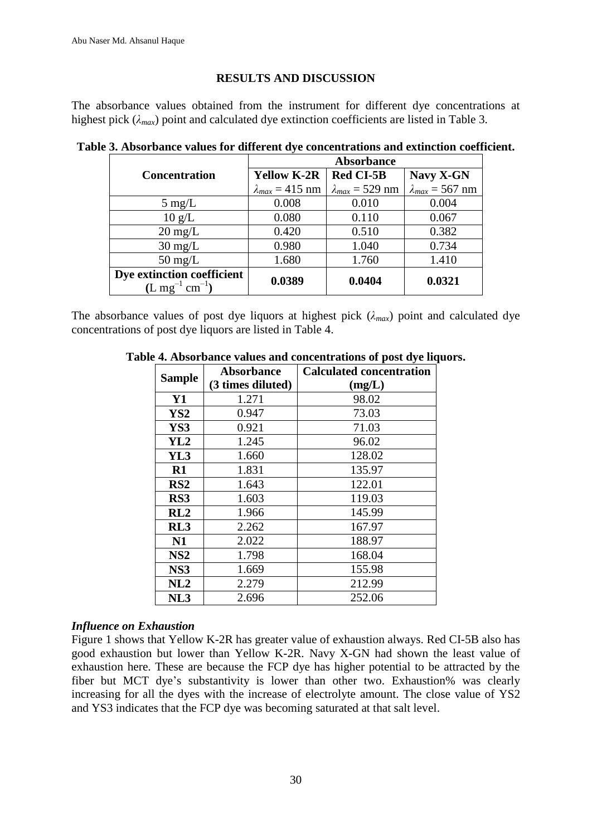### **RESULTS AND DISCUSSION**

The absorbance values obtained from the instrument for different dye concentrations at highest pick ( $\lambda_{max}$ ) point and calculated dye extinction coefficients are listed in Table 3.

|                                     | <b>Absorbance</b>        |                          |                          |  |
|-------------------------------------|--------------------------|--------------------------|--------------------------|--|
| <b>Concentration</b>                | <b>Yellow K-2R</b>       | <b>Red CI-5B</b>         | Navy X-GN                |  |
|                                     | $\lambda_{max}$ = 415 nm | $\lambda_{max}$ = 529 nm | $\lambda_{max}$ = 567 nm |  |
| $5 \text{ mg/L}$                    | 0.008                    | 0.010                    | 0.004                    |  |
| $10 \text{ g/L}$                    | 0.080                    | 0.110                    | 0.067                    |  |
| $20 \text{ mg/L}$                   | 0.420                    | 0.510                    | 0.382                    |  |
| $30 \text{ mg/L}$                   | 0.980                    | 1.040                    | 0.734                    |  |
| $50 \text{ mg/L}$                   | 1.680                    | 1.760                    | 1.410                    |  |
| Dye extinction coefficient          | 0.0389                   | 0.0404                   | 0.0321                   |  |
| $(L mg^{-1})$<br>$\text{cm}^{-1}$ ) |                          |                          |                          |  |

**Table 3. Absorbance values for different dye concentrations and extinction coefficient.**

The absorbance values of post dye liquors at highest pick  $(\lambda_{max})$  point and calculated dye concentrations of post dye liquors are listed in Table 4.

|                 | Absorbance        | <b>Calculated concentration</b> |  |  |
|-----------------|-------------------|---------------------------------|--|--|
| <b>Sample</b>   | (3 times diluted) | (mg/L)                          |  |  |
| <b>Y1</b>       | 1.271             | 98.02                           |  |  |
| YS2             | 0.947             | 73.03                           |  |  |
| YS3             | 0.921             | 71.03                           |  |  |
| YL <sub>2</sub> | 1.245             | 96.02                           |  |  |
| YL3             | 1.660             | 128.02                          |  |  |
| $R1$            | 1.831             | 135.97                          |  |  |
| RS2             | 1.643             | 122.01                          |  |  |
| RS3             | 1.603             | 119.03                          |  |  |
| RL2             | 1.966             | 145.99                          |  |  |
| RL3             | 2.262             | 167.97                          |  |  |
| N1              | 2.022             | 188.97                          |  |  |
| NS <sub>2</sub> | 1.798             | 168.04                          |  |  |
| NS3             | 1.669             | 155.98                          |  |  |
| NL2             | 2.279             | 212.99                          |  |  |
| NL3             | 2.696             | 252.06                          |  |  |

### **Table 4. Absorbance values and concentrations of post dye liquors.**

### *Influence on Exhaustion*

Figure 1 shows that Yellow K-2R has greater value of exhaustion always. Red CI-5B also has good exhaustion but lower than Yellow K-2R. Navy X-GN had shown the least value of exhaustion here. These are because the FCP dye has higher potential to be attracted by the fiber but MCT dye's substantivity is lower than other two. Exhaustion% was clearly increasing for all the dyes with the increase of electrolyte amount. The close value of YS2 and YS3 indicates that the FCP dye was becoming saturated at that salt level.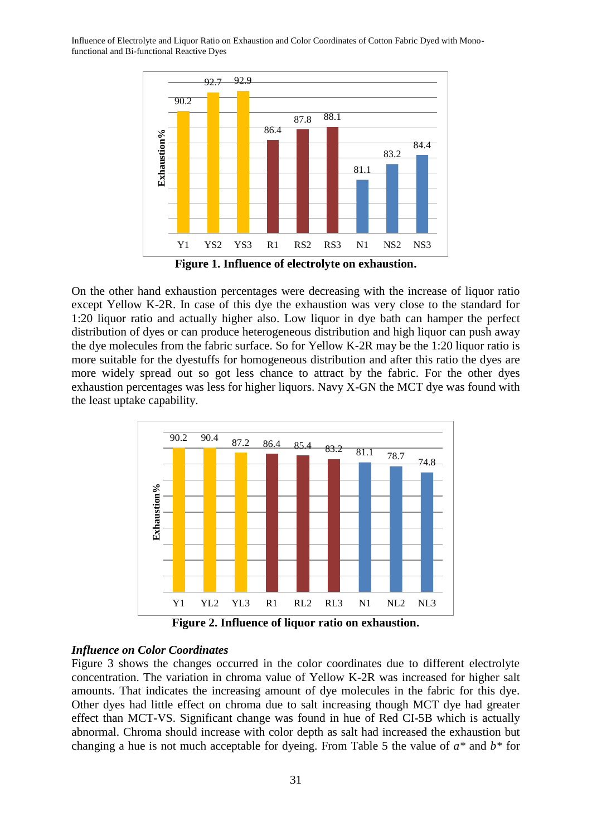Influence of Electrolyte and Liquor Ratio on Exhaustion and Color Coordinates of Cotton Fabric Dyed with Monofunctional and Bi-functional Reactive Dyes



**Figure 1. Influence of electrolyte on exhaustion.**

On the other hand exhaustion percentages were decreasing with the increase of liquor ratio except Yellow K-2R. In case of this dye the exhaustion was very close to the standard for 1:20 liquor ratio and actually higher also. Low liquor in dye bath can hamper the perfect distribution of dyes or can produce heterogeneous distribution and high liquor can push away the dye molecules from the fabric surface. So for Yellow K-2R may be the 1:20 liquor ratio is more suitable for the dyestuffs for homogeneous distribution and after this ratio the dyes are more widely spread out so got less chance to attract by the fabric. For the other dyes exhaustion percentages was less for higher liquors. Navy X-GN the MCT dye was found with the least uptake capability.



**Figure 2. Influence of liquor ratio on exhaustion.**

# *Influence on Color Coordinates*

Figure 3 shows the changes occurred in the color coordinates due to different electrolyte concentration. The variation in chroma value of Yellow K-2R was increased for higher salt amounts. That indicates the increasing amount of dye molecules in the fabric for this dye. Other dyes had little effect on chroma due to salt increasing though MCT dye had greater effect than MCT-VS. Significant change was found in hue of Red CI-5B which is actually abnormal. Chroma should increase with color depth as salt had increased the exhaustion but changing a hue is not much acceptable for dyeing. From Table 5 the value of *a\** and *b\** for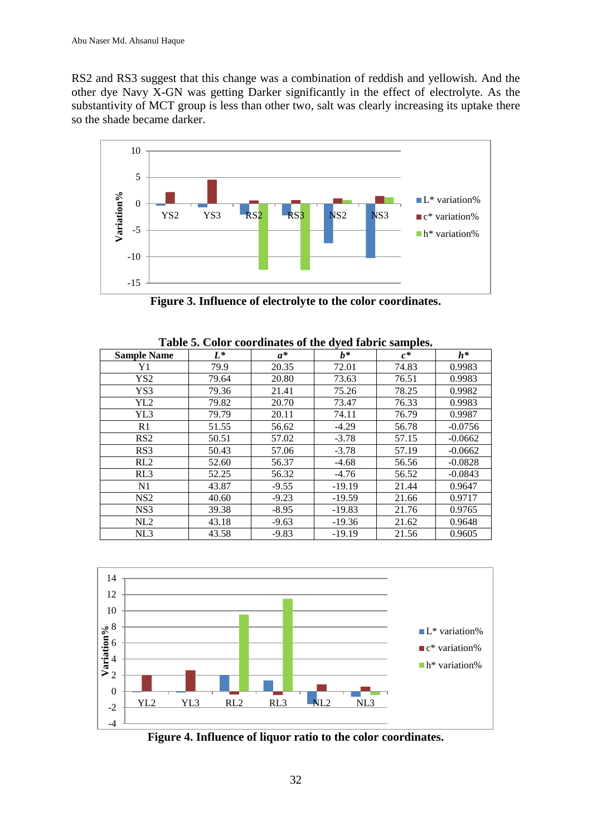RS2 and RS3 suggest that this change was a combination of reddish and yellowish. And the other dye Navy X-GN was getting Darker significantly in the effect of electrolyte. As the substantivity of MCT group is less than other two, salt was clearly increasing its uptake there so the shade became darker.



**Figure 3. Influence of electrolyte to the color coordinates.**

| <b>Sample Name</b> | $L^*$ | $a^*$   | $h^*$    | $c^*$ | $h^*$     |
|--------------------|-------|---------|----------|-------|-----------|
| Y1                 | 79.9  | 20.35   | 72.01    | 74.83 | 0.9983    |
| YS <sub>2</sub>    | 79.64 | 20.80   | 73.63    | 76.51 | 0.9983    |
| YS3                | 79.36 | 21.41   | 75.26    | 78.25 | 0.9982    |
| YL <sub>2</sub>    | 79.82 | 20.70   | 73.47    | 76.33 | 0.9983    |
| YL3                | 79.79 | 20.11   | 74.11    | 76.79 | 0.9987    |
| R1                 | 51.55 | 56.62   | $-4.29$  | 56.78 | $-0.0756$ |
| RS <sub>2</sub>    | 50.51 | 57.02   | $-3.78$  | 57.15 | $-0.0662$ |
| RS3                | 50.43 | 57.06   | $-3.78$  | 57.19 | $-0.0662$ |
| RL2                | 52.60 | 56.37   | $-4.68$  | 56.56 | $-0.0828$ |
| RL3                | 52.25 | 56.32   | $-4.76$  | 56.52 | $-0.0843$ |
| N <sub>1</sub>     | 43.87 | $-9.55$ | $-19.19$ | 21.44 | 0.9647    |
| NS <sub>2</sub>    | 40.60 | $-9.23$ | $-19.59$ | 21.66 | 0.9717    |
| NS <sub>3</sub>    | 39.38 | $-8.95$ | $-19.83$ | 21.76 | 0.9765    |
| NL2                | 43.18 | $-9.63$ | $-19.36$ | 21.62 | 0.9648    |
| NL3                | 43.58 | $-9.83$ | $-19.19$ | 21.56 | 0.9605    |

**Table 5. Color coordinates of the dyed fabric samples.**



**Figure 4. Influence of liquor ratio to the color coordinates.**